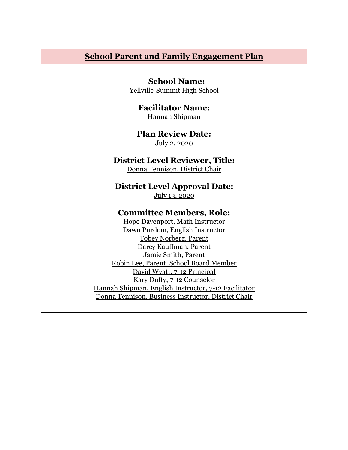### **School Parent and Family Engagement Plan**

**School Name:** Yellville-Summit High School

> **Facilitator Name:** Hannah Shipman

**Plan Review Date:** July 2, 2020

#### **District Level Reviewer, Title:**

Donna Tennison, District Chair

**District Level Approval Date:**

July 13, 2020

#### **Committee Members, Role:**

Hope Davenport, Math Instructor Dawn Purdom, English Instructor Tobey Norberg, Parent Darcy Kauffman, Parent Jamie Smith, Parent Robin Lee, Parent, School Board Member David Wyatt, 7-12 Principal Kary Duffy, 7-12 Counselor Hannah Shipman, English Instructor, 7-12 Facilitator Donna Tennison, Business Instructor, District Chair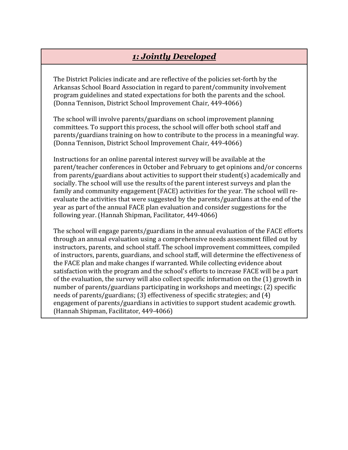# *1: Jointly Developed*

The District Policies indicate and are reflective of the policies set-forth by the Arkansas School Board Association in regard to parent/community involvement program guidelines and stated expectations for both the parents and the school. (Donna Tennison, District School Improvement Chair, 449-4066)

The school will involve parents/guardians on school improvement planning committees. To support this process, the school will offer both school staff and parents/guardians training on how to contribute to the process in a meaningful way. (Donna Tennison, District School Improvement Chair, 449-4066)

Instructions for an online parental interest survey will be available at the parent/teacher conferences in October and February to get opinions and/or concerns from parents/guardians about activities to support their student(s) academically and socially. The school will use the results of the parent interest surveys and plan the family and community engagement (FACE) activities for the year. The school will reevaluate the activities that were suggested by the parents/guardians at the end of the year as part of the annual FACE plan evaluation and consider suggestions for the following year. (Hannah Shipman, Facilitator, 449-4066)

The school will engage parents/guardians in the annual evaluation of the FACE efforts through an annual evaluation using a comprehensive needs assessment filled out by instructors, parents, and school staff. The school improvement committees, compiled of instructors, parents, guardians, and school staff, will determine the effectiveness of the FACE plan and make changes if warranted. While collecting evidence about satisfaction with the program and the school's efforts to increase FACE will be a part of the evaluation, the survey will also collect specific information on the (1) growth in number of parents/guardians participating in workshops and meetings; (2) specific needs of parents/guardians; (3) effectiveness of specific strategies; and (4) engagement of parents/guardians in activities to support student academic growth. (Hannah Shipman, Facilitator, 449-4066)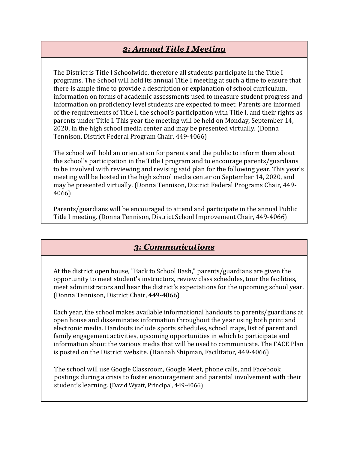## *2: Annual Title I Meeting*

The District is Title I Schoolwide, therefore all students participate in the Title I programs. The School will hold its annual Title I meeting at such a time to ensure that there is ample time to provide a description or explanation of school curriculum, information on forms of academic assessments used to measure student progress and information on proficiency level students are expected to meet. Parents are informed of the requirements of Title I, the school's participation with Title I, and their rights as parents under Title I. This year the meeting will be held on Monday, September 14, 2020, in the high school media center and may be presented virtually. (Donna Tennison, District Federal Program Chair, 449-4066)

The school will hold an orientation for parents and the public to inform them about the school's participation in the Title I program and to encourage parents/guardians to be involved with reviewing and revising said plan for the following year. This year's meeting will be hosted in the high school media center on September 14, 2020, and may be presented virtually. (Donna Tennison, District Federal Programs Chair, 449- 4066)

Parents/guardians will be encouraged to attend and participate in the annual Public Title I meeting. (Donna Tennison, District School Improvement Chair, 449-4066)

## *3: Communications*

At the district open house, "Back to School Bash," parents/guardians are given the opportunity to meet student's instructors, review class schedules, tour the facilities, meet administrators and hear the district's expectations for the upcoming school year. (Donna Tennison, District Chair, 449-4066)

Each year, the school makes available informational handouts to parents/guardians at open house and disseminates information throughout the year using both print and electronic media. Handouts include sports schedules, school maps, list of parent and family engagement activities, upcoming opportunities in which to participate and information about the various media that will be used to communicate. The FACE Plan is posted on the District website. (Hannah Shipman, Facilitator, 449-4066)

The school will use Google Classroom, Google Meet, phone calls, and Facebook postings during a crisis to foster encouragement and parental involvement with their student's learning. (David Wyatt, Principal, 449-4066)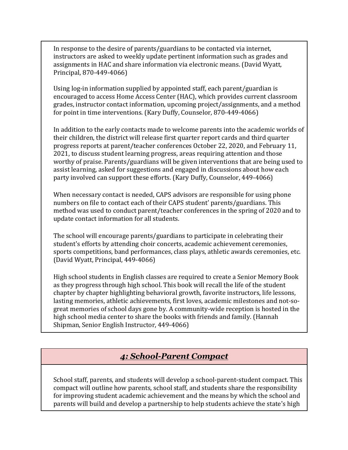In response to the desire of parents/guardians to be contacted via internet, instructors are asked to weekly update pertinent information such as grades and assignments in HAC and share information via electronic means. (David Wyatt, Principal, 870-449-4066)

Using log-in information supplied by appointed staff, each parent/guardian is encouraged to access Home Access Center (HAC), which provides current classroom grades, instructor contact information, upcoming project/assignments, and a method for point in time interventions. (Kary Duffy, Counselor, 870-449-4066)

In addition to the early contacts made to welcome parents into the academic worlds of their children, the district will release first quarter report cards and third quarter progress reports at parent/teacher conferences October 22, 2020, and February 11, 2021, to discuss student learning progress, areas requiring attention and those worthy of praise. Parents/guardians will be given interventions that are being used to assist learning, asked for suggestions and engaged in discussions about how each party involved can support these efforts. (Kary Duffy, Counselor, 449-4066)

When necessary contact is needed, CAPS advisors are responsible for using phone numbers on file to contact each of their CAPS student' parents/guardians. This method was used to conduct parent/teacher conferences in the spring of 2020 and to update contact information for all students.

The school will encourage parents/guardians to participate in celebrating their student's efforts by attending choir concerts, academic achievement ceremonies, sports competitions, band performances, class plays, athletic awards ceremonies, etc. (David Wyatt, Principal, 449-4066)

High school students in English classes are required to create a Senior Memory Book as they progress through high school. This book will recall the life of the student chapter by chapter highlighting behavioral growth, favorite instructors, life lessons, lasting memories, athletic achievements, first loves, academic milestones and not-sogreat memories of school days gone by. A community-wide reception is hosted in the high school media center to share the books with friends and family. (Hannah Shipman, Senior English Instructor, 449-4066)

### *4: School-Parent Compact*

School staff, parents, and students will develop a school-parent-student compact. This compact will outline how parents, school staff, and students share the responsibility for improving student academic achievement and the means by which the school and parents will build and develop a partnership to help students achieve the state's high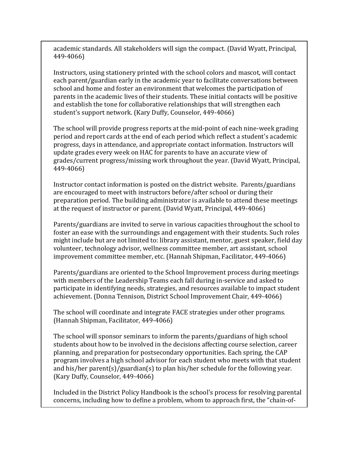academic standards. All stakeholders will sign the compact. (David Wyatt, Principal, 449-4066)

Instructors, using stationery printed with the school colors and mascot, will contact each parent/guardian early in the academic year to facilitate conversations between school and home and foster an environment that welcomes the participation of parents in the academic lives of their students. These initial contacts will be positive and establish the tone for collaborative relationships that will strengthen each student's support network. (Kary Duffy, Counselor, 449-4066)

The school will provide progress reports at the mid-point of each nine-week grading period and report cards at the end of each period which reflect a student's academic progress, days in attendance, and appropriate contact information. Instructors will update grades every week on HAC for parents to have an accurate view of grades/current progress/missing work throughout the year. (David Wyatt, Principal, 449-4066)

Instructor contact information is posted on the district website. Parents/guardians are encouraged to meet with instructors before/after school or during their preparation period. The building administrator is available to attend these meetings at the request of instructor or parent. (David Wyatt, Principal, 449-4066)

Parents/guardians are invited to serve in various capacities throughout the school to foster an ease with the surroundings and engagement with their students. Such roles might include but are not limited to: library assistant, mentor, guest speaker, field day volunteer, technology advisor, wellness committee member, art assistant, school improvement committee member, etc. (Hannah Shipman, Facilitator, 449-4066)

Parents/guardians are oriented to the School Improvement process during meetings with members of the Leadership Teams each fall during in-service and asked to participate in identifying needs, strategies, and resources available to impact student achievement. (Donna Tennison, District School Improvement Chair, 449-4066)

The school will coordinate and integrate FACE strategies under other programs. (Hannah Shipman, Facilitator, 449-4066)

The school will sponsor seminars to inform the parents/guardians of high school students about how to be involved in the decisions affecting course selection, career planning, and preparation for postsecondary opportunities. Each spring, the CAP program involves a high school advisor for each student who meets with that student and his/her parent(s)/guardian(s) to plan his/her schedule for the following year. (Kary Duffy, Counselor, 449-4066)

Included in the District Policy Handbook is the school's process for resolving parental concerns, including how to define a problem, whom to approach first, the "chain-of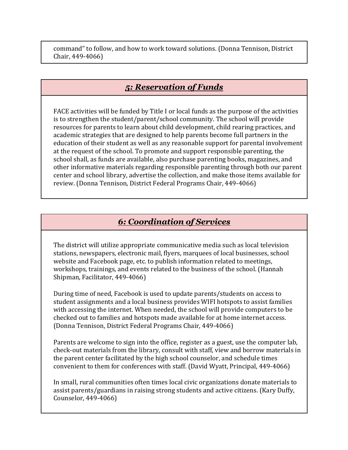command" to follow, and how to work toward solutions. (Donna Tennison, District Chair, 449-4066)

## *5: Reservation of Funds*

FACE activities will be funded by Title I or local funds as the purpose of the activities is to strengthen the student/parent/school community. The school will provide resources for parents to learn about child development, child rearing practices, and academic strategies that are designed to help parents become full partners in the education of their student as well as any reasonable support for parental involvement at the request of the school. To promote and support responsible parenting, the school shall, as funds are available, also purchase parenting books, magazines, and other informative materials regarding responsible parenting through both our parent center and school library, advertise the collection, and make those items available for review. (Donna Tennison, District Federal Programs Chair, 449-4066)

## *6: Coordination of Services*

The district will utilize appropriate communicative media such as local television stations, newspapers, electronic mail, flyers, marquees of local businesses, school website and Facebook page, etc. to publish information related to meetings, workshops, trainings, and events related to the business of the school. (Hannah Shipman, Facilitator, 449-4066)

During time of need, Facebook is used to update parents/students on access to student assignments and a local business provides WIFI hotspots to assist families with accessing the internet. When needed, the school will provide computers to be checked out to families and hotspots made available for at home internet access. (Donna Tennison, District Federal Programs Chair, 449-4066)

Parents are welcome to sign into the office, register as a guest, use the computer lab, check-out materials from the library, consult with staff, view and borrow materials in the parent center facilitated by the high school counselor, and schedule times convenient to them for conferences with staff. (David Wyatt, Principal, 449-4066)

In small, rural communities often times local civic organizations donate materials to assist parents/guardians in raising strong students and active citizens. (Kary Duffy, Counselor, 449-4066)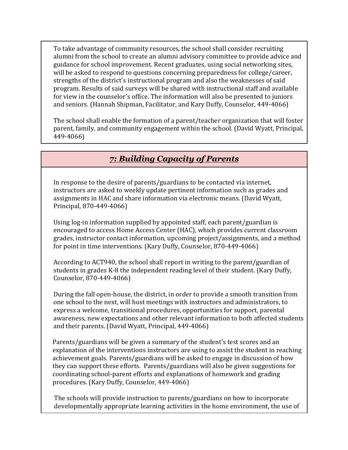To take advantage of community resources, the school shall consider recruiting alumni from the school to create an alumni advisory committee to provide advice and guidance for school improvement. Recent graduates, using social networking sites, will be asked to respond to questions concerning preparedness for college/career, strengths of the district's instructional program and also the weaknesses of said program. Results of said surveys will be shared with instructional staff and available for view in the counselor's office. The information will also be presented to juniors and seniors. (Hannah Shipman, Facilitator, and Kary Duffy, Counselor, 449-4066)

The school shall enable the formation of a parent/teacher organization that will foster parent, family, and community engagement within the school. (David Wyatt, Principal, 449-4066)

# *7: Building Capacity of Parents*

In response to the desire of parents/guardians to be contacted via internet, instructors are asked to weekly update pertinent information such as grades and assignments in HAC and share information via electronic means. (David Wyatt, Principal, 870-449-4066)

Using log-in information supplied by appointed staff, each parent/guardian is encouraged to access Home Access Center (HAC), which provides current classroom grades, instructor contact information, upcoming project/assignments, and a method for point in time interventions. (Kary Duffy, Counselor, 870-449-4066)

According to ACT940, the school shall report in writing to the parent/guardian of students in grades K-8 the independent reading level of their student. (Kary Duffy, Counselor, 870-449-4066)

During the fall open-house, the district, in order to provide a smooth transition from one school to the next, will host meetings with instructors and administrators, to express a welcome, transitional procedures, opportunities for support, parental awareness, new expectations and other relevant information to both affected students and their parents. (David Wyatt, Principal, 449-4066)

Parents/guardians will be given a summary of the student's test scores and an explanation of the interventions instructors are using to assist the student in reaching achievement goals. Parents/guardians will be asked to engage in discussion of how they can support these efforts. Parents/guardians will also be given suggestions for coordinating school-parent efforts and explanations of homework and grading procedures. (Kary Duffy, Counselor, 449-4066)

The schools will provide instruction to parents/guardians on how to incorporate developmentally appropriate learning activities in the home environment, the use of